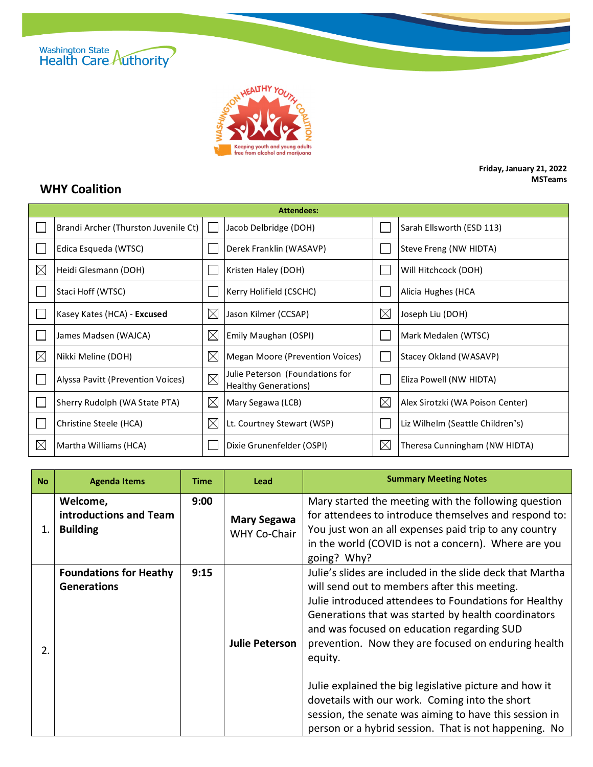



## **Friday, January 21, 2022 MSTeams**

## **WHY Coalition**

| <b>Attendees:</b> |                                      |             |                                                                |             |                                  |  |  |
|-------------------|--------------------------------------|-------------|----------------------------------------------------------------|-------------|----------------------------------|--|--|
|                   | Brandi Archer (Thurston Juvenile Ct) |             | Jacob Delbridge (DOH)                                          |             | Sarah Ellsworth (ESD 113)        |  |  |
|                   | Edica Esqueda (WTSC)                 |             | Derek Franklin (WASAVP)                                        |             | Steve Freng (NW HIDTA)           |  |  |
| $\boxtimes$       | Heidi Glesmann (DOH)                 |             | Kristen Haley (DOH)                                            |             | Will Hitchcock (DOH)             |  |  |
|                   | Staci Hoff (WTSC)                    |             | Kerry Holifield (CSCHC)                                        |             | Alicia Hughes (HCA               |  |  |
|                   | Kasey Kates (HCA) - Excused          | $\boxtimes$ | Jason Kilmer (CCSAP)                                           | $\boxtimes$ | Joseph Liu (DOH)                 |  |  |
|                   | James Madsen (WAJCA)                 | $\boxtimes$ | Emily Maughan (OSPI)                                           |             | Mark Medalen (WTSC)              |  |  |
| $\boxtimes$       | Nikki Meline (DOH)                   | $\times$    | Megan Moore (Prevention Voices)                                |             | Stacey Okland (WASAVP)           |  |  |
|                   | Alyssa Pavitt (Prevention Voices)    | $\boxtimes$ | Julie Peterson (Foundations for<br><b>Healthy Generations)</b> |             | Eliza Powell (NW HIDTA)          |  |  |
|                   | Sherry Rudolph (WA State PTA)        | $\boxtimes$ | Mary Segawa (LCB)                                              | $\boxtimes$ | Alex Sirotzki (WA Poison Center) |  |  |
|                   | Christine Steele (HCA)               | $\boxtimes$ | Lt. Courtney Stewart (WSP)                                     |             | Liz Wilhelm (Seattle Children's) |  |  |
| $\boxtimes$       | Martha Williams (HCA)                |             | Dixie Grunenfelder (OSPI)                                      | $\boxtimes$ | Theresa Cunningham (NW HIDTA)    |  |  |

| <b>No</b> | <b>Agenda Items</b>                                   | <b>Time</b> | Lead                                      | <b>Summary Meeting Notes</b>                                                                                                                                                                                                                                                                                                                                                                                                                                                                                                                                             |
|-----------|-------------------------------------------------------|-------------|-------------------------------------------|--------------------------------------------------------------------------------------------------------------------------------------------------------------------------------------------------------------------------------------------------------------------------------------------------------------------------------------------------------------------------------------------------------------------------------------------------------------------------------------------------------------------------------------------------------------------------|
| 1.        | Welcome,<br>introductions and Team<br><b>Building</b> | 9:00        | <b>Mary Segawa</b><br><b>WHY Co-Chair</b> | Mary started the meeting with the following question<br>for attendees to introduce themselves and respond to:<br>You just won an all expenses paid trip to any country<br>in the world (COVID is not a concern). Where are you<br>going? Why?                                                                                                                                                                                                                                                                                                                            |
| 2.        | <b>Foundations for Heathy</b><br><b>Generations</b>   | 9:15        | <b>Julie Peterson</b>                     | Julie's slides are included in the slide deck that Martha<br>will send out to members after this meeting.<br>Julie introduced attendees to Foundations for Healthy<br>Generations that was started by health coordinators<br>and was focused on education regarding SUD<br>prevention. Now they are focused on enduring health<br>equity.<br>Julie explained the big legislative picture and how it<br>dovetails with our work. Coming into the short<br>session, the senate was aiming to have this session in<br>person or a hybrid session. That is not happening. No |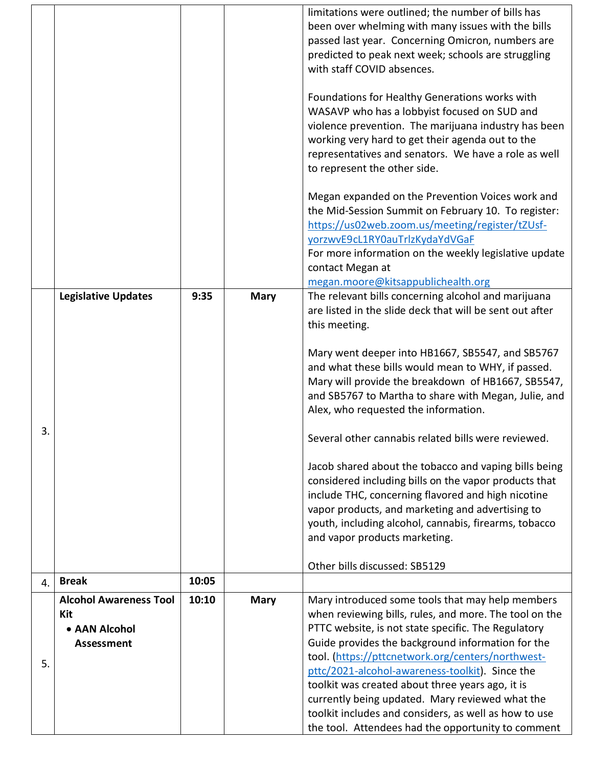|    |                                               |                |             | limitations were outlined; the number of bills has<br>been over whelming with many issues with the bills<br>passed last year. Concerning Omicron, numbers are<br>predicted to peak next week; schools are struggling<br>with staff COVID absences.                                                                 |
|----|-----------------------------------------------|----------------|-------------|--------------------------------------------------------------------------------------------------------------------------------------------------------------------------------------------------------------------------------------------------------------------------------------------------------------------|
|    |                                               |                |             | Foundations for Healthy Generations works with<br>WASAVP who has a lobbyist focused on SUD and<br>violence prevention. The marijuana industry has been<br>working very hard to get their agenda out to the<br>representatives and senators. We have a role as well<br>to represent the other side.                 |
|    |                                               |                |             | Megan expanded on the Prevention Voices work and<br>the Mid-Session Summit on February 10. To register:<br>https://us02web.zoom.us/meeting/register/tZUsf-<br>yorzwyE9cL1RY0auTrlzKydaYdVGaF<br>For more information on the weekly legislative update<br>contact Megan at<br>megan.moore@kitsappublichealth.org    |
|    | <b>Legislative Updates</b>                    | 9:35           | <b>Mary</b> | The relevant bills concerning alcohol and marijuana<br>are listed in the slide deck that will be sent out after<br>this meeting.                                                                                                                                                                                   |
|    |                                               |                |             | Mary went deeper into HB1667, SB5547, and SB5767<br>and what these bills would mean to WHY, if passed.<br>Mary will provide the breakdown of HB1667, SB5547,<br>and SB5767 to Martha to share with Megan, Julie, and<br>Alex, who requested the information.                                                       |
| 3. |                                               |                |             | Several other cannabis related bills were reviewed.                                                                                                                                                                                                                                                                |
|    |                                               |                |             | Jacob shared about the tobacco and vaping bills being<br>considered including bills on the vapor products that<br>include THC, concerning flavored and high nicotine<br>vapor products, and marketing and advertising to<br>youth, including alcohol, cannabis, firearms, tobacco<br>and vapor products marketing. |
|    |                                               |                |             | Other bills discussed: SB5129                                                                                                                                                                                                                                                                                      |
| 4. | <b>Break</b><br><b>Alcohol Awareness Tool</b> | 10:05<br>10:10 | <b>Mary</b> | Mary introduced some tools that may help members                                                                                                                                                                                                                                                                   |
|    | Kit<br>• AAN Alcohol<br>Assessment            |                |             | when reviewing bills, rules, and more. The tool on the<br>PTTC website, is not state specific. The Regulatory<br>Guide provides the background information for the<br>tool. (https://pttcnetwork.org/centers/northwest-                                                                                            |
| 5. |                                               |                |             | pttc/2021-alcohol-awareness-toolkit). Since the<br>toolkit was created about three years ago, it is<br>currently being updated. Mary reviewed what the<br>toolkit includes and considers, as well as how to use<br>the tool. Attendees had the opportunity to comment                                              |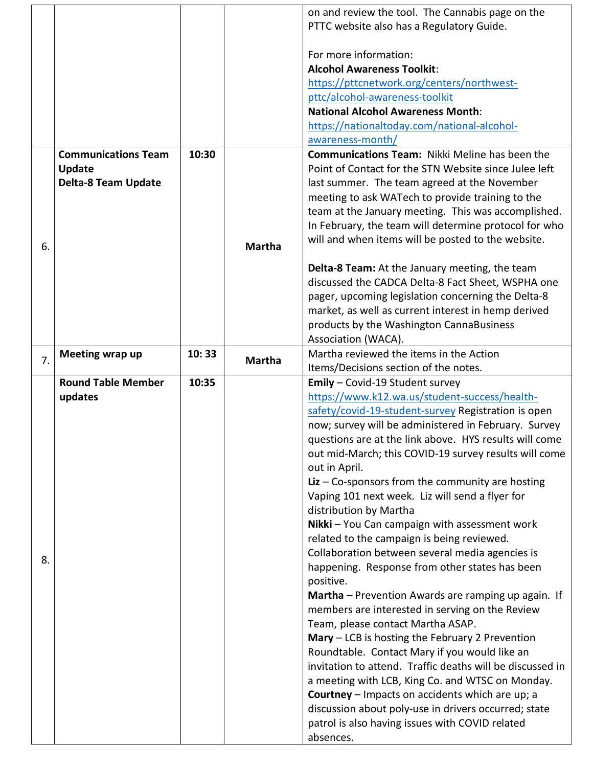|    |                            |       |               | on and review the tool. The Cannabis page on the          |
|----|----------------------------|-------|---------------|-----------------------------------------------------------|
|    |                            |       |               | PTTC website also has a Regulatory Guide.                 |
|    |                            |       |               | For more information:                                     |
|    |                            |       |               | <b>Alcohol Awareness Toolkit:</b>                         |
|    |                            |       |               | https://pttcnetwork.org/centers/northwest-                |
|    |                            |       |               | pttc/alcohol-awareness-toolkit                            |
|    |                            |       |               | <b>National Alcohol Awareness Month:</b>                  |
|    |                            |       |               | https://nationaltoday.com/national-alcohol-               |
|    |                            |       |               | awareness-month/                                          |
|    | <b>Communications Team</b> | 10:30 |               | <b>Communications Team: Nikki Meline has been the</b>     |
|    | <b>Update</b>              |       |               | Point of Contact for the STN Website since Julee left     |
|    | <b>Delta-8 Team Update</b> |       |               | last summer. The team agreed at the November              |
|    |                            |       |               | meeting to ask WATech to provide training to the          |
|    |                            |       |               | team at the January meeting. This was accomplished.       |
|    |                            |       |               | In February, the team will determine protocol for who     |
|    |                            |       |               | will and when items will be posted to the website.        |
| 6. |                            |       | <b>Martha</b> |                                                           |
|    |                            |       |               | Delta-8 Team: At the January meeting, the team            |
|    |                            |       |               | discussed the CADCA Delta-8 Fact Sheet, WSPHA one         |
|    |                            |       |               | pager, upcoming legislation concerning the Delta-8        |
|    |                            |       |               | market, as well as current interest in hemp derived       |
|    |                            |       |               | products by the Washington CannaBusiness                  |
|    |                            |       |               | Association (WACA).                                       |
| 7. | Meeting wrap up            | 10:33 |               | Martha reviewed the items in the Action                   |
|    |                            |       | <b>Martha</b> | Items/Decisions section of the notes.                     |
|    |                            |       |               |                                                           |
|    | <b>Round Table Member</b>  | 10:35 |               | Emily - Covid-19 Student survey                           |
|    | updates                    |       |               | https://www.k12.wa.us/student-success/health-             |
|    |                            |       |               | safety/covid-19-student-survey Registration is open       |
|    |                            |       |               | now; survey will be administered in February. Survey      |
|    |                            |       |               | questions are at the link above. HYS results will come    |
|    |                            |       |               | out mid-March; this COVID-19 survey results will come     |
|    |                            |       |               | out in April.                                             |
|    |                            |       |               | Liz $-$ Co-sponsors from the community are hosting        |
|    |                            |       |               | Vaping 101 next week. Liz will send a flyer for           |
|    |                            |       |               | distribution by Martha                                    |
|    |                            |       |               | Nikki - You Can campaign with assessment work             |
|    |                            |       |               | related to the campaign is being reviewed.                |
| 8. |                            |       |               | Collaboration between several media agencies is           |
|    |                            |       |               | happening. Response from other states has been            |
|    |                            |       |               | positive.                                                 |
|    |                            |       |               | Martha - Prevention Awards are ramping up again. If       |
|    |                            |       |               | members are interested in serving on the Review           |
|    |                            |       |               | Team, please contact Martha ASAP.                         |
|    |                            |       |               | $Mary - LCB$ is hosting the February 2 Prevention         |
|    |                            |       |               | Roundtable. Contact Mary if you would like an             |
|    |                            |       |               | invitation to attend. Traffic deaths will be discussed in |
|    |                            |       |               | a meeting with LCB, King Co. and WTSC on Monday.          |
|    |                            |       |               | <b>Courtney</b> – Impacts on accidents which are up; a    |
|    |                            |       |               | discussion about poly-use in drivers occurred; state      |
|    |                            |       |               | patrol is also having issues with COVID related           |